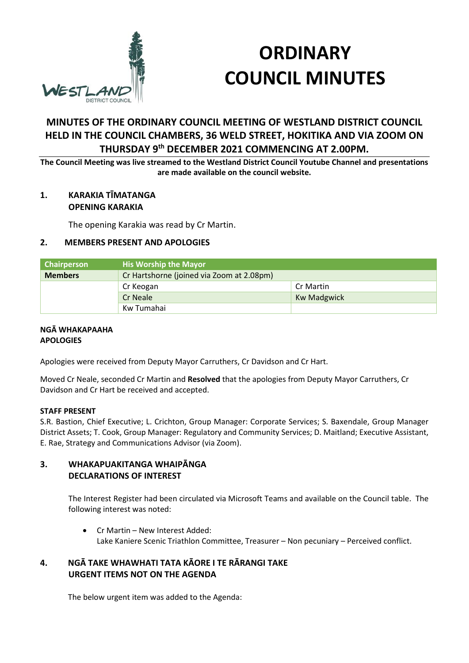

# **ORDINARY COUNCIL MINUTES**

# **MINUTES OF THE ORDINARY COUNCIL MEETING OF WESTLAND DISTRICT COUNCIL HELD IN THE COUNCIL CHAMBERS, 36 WELD STREET, HOKITIKA AND VIA ZOOM ON THURSDAY 9th DECEMBER 2021 COMMENCING AT 2.00PM.**

**The Council Meeting was live streamed to the Westland District Council Youtube Channel and presentations are made available on the council website.** 

# **1. KARAKIA TĪMATANGA OPENING KARAKIA**

The opening Karakia was read by Cr Martin.

# **2. MEMBERS PRESENT AND APOLOGIES**

| <b>Chairperson</b> | <b>His Worship the Mayor</b>              |                    |  |
|--------------------|-------------------------------------------|--------------------|--|
| <b>Members</b>     | Cr Hartshorne (joined via Zoom at 2.08pm) |                    |  |
|                    | Cr Keogan                                 | Cr Martin          |  |
|                    | <b>Cr Neale</b>                           | <b>Kw Madgwick</b> |  |
|                    | Kw Tumahai                                |                    |  |

#### **NGĀ WHAKAPAAHA APOLOGIES**

Apologies were received from Deputy Mayor Carruthers, Cr Davidson and Cr Hart.

Moved Cr Neale, seconded Cr Martin and **Resolved** that the apologies from Deputy Mayor Carruthers, Cr Davidson and Cr Hart be received and accepted.

# **STAFF PRESENT**

S.R. Bastion, Chief Executive; L. Crichton, Group Manager: Corporate Services; S. Baxendale, Group Manager District Assets; T. Cook, Group Manager: Regulatory and Community Services; D. Maitland; Executive Assistant, E. Rae, Strategy and Communications Advisor (via Zoom).

# **3. WHAKAPUAKITANGA WHAIPĀNGA DECLARATIONS OF INTEREST**

The Interest Register had been circulated via Microsoft Teams and available on the Council table. The following interest was noted:

 Cr Martin – New Interest Added: Lake Kaniere Scenic Triathlon Committee, Treasurer – Non pecuniary – Perceived conflict.

# **4. NGĀ TAKE WHAWHATI TATA KĀORE I TE RĀRANGI TAKE URGENT ITEMS NOT ON THE AGENDA**

The below urgent item was added to the Agenda: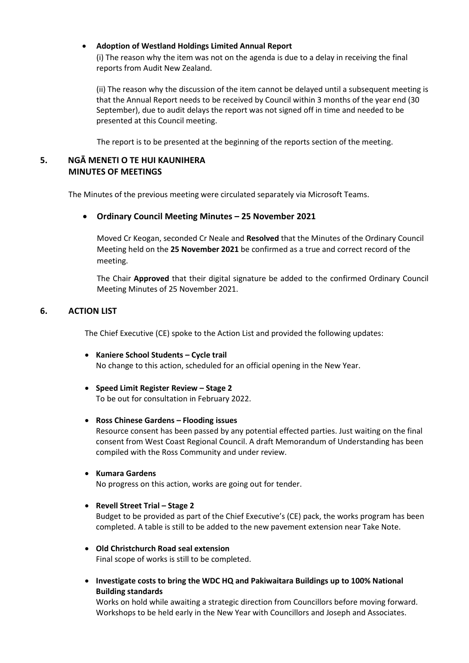#### **Adoption of Westland Holdings Limited Annual Report**

(i) The reason why the item was not on the agenda is due to a delay in receiving the final reports from Audit New Zealand.

(ii) The reason why the discussion of the item cannot be delayed until a subsequent meeting is that the Annual Report needs to be received by Council within 3 months of the year end (30 September), due to audit delays the report was not signed off in time and needed to be presented at this Council meeting.

The report is to be presented at the beginning of the reports section of the meeting.

# **5. NGĀ MENETI O TE HUI KAUNIHERA MINUTES OF MEETINGS**

The Minutes of the previous meeting were circulated separately via Microsoft Teams.

# **Ordinary Council Meeting Minutes – 25 November 2021**

Moved Cr Keogan, seconded Cr Neale and **Resolved** that the Minutes of the Ordinary Council Meeting held on the **25 November 2021** be confirmed as a true and correct record of the meeting.

The Chair **Approved** that their digital signature be added to the confirmed Ordinary Council Meeting Minutes of 25 November 2021.

# **6. ACTION LIST**

The Chief Executive (CE) spoke to the Action List and provided the following updates:

- **Kaniere School Students Cycle trail**  No change to this action, scheduled for an official opening in the New Year.
- **Speed Limit Register Review Stage 2**  To be out for consultation in February 2022.

#### **Ross Chinese Gardens – Flooding issues**

Resource consent has been passed by any potential effected parties. Just waiting on the final consent from West Coast Regional Council. A draft Memorandum of Understanding has been compiled with the Ross Community and under review.

**Kumara Gardens** 

No progress on this action, works are going out for tender.

**Revell Street Trial – Stage 2** 

Budget to be provided as part of the Chief Executive's (CE) pack, the works program has been completed. A table is still to be added to the new pavement extension near Take Note.

- **Old Christchurch Road seal extension**  Final scope of works is still to be completed.
- **Investigate costs to bring the WDC HQ and Pakiwaitara Buildings up to 100% National Building standards**

Works on hold while awaiting a strategic direction from Councillors before moving forward. Workshops to be held early in the New Year with Councillors and Joseph and Associates.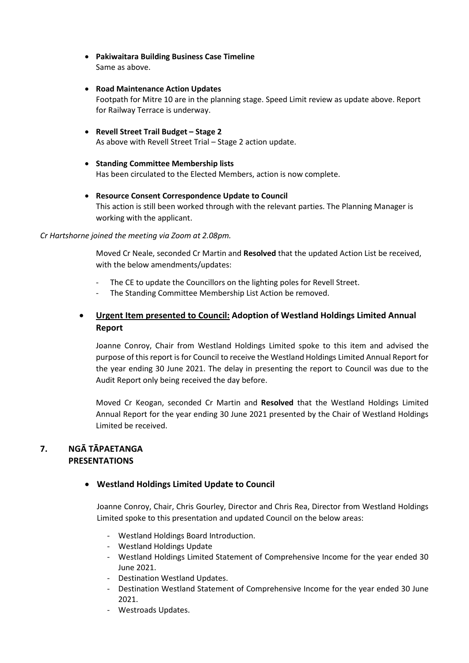- **Pakiwaitara Building Business Case Timeline**  Same as above.
- **Road Maintenance Action Updates**  Footpath for Mitre 10 are in the planning stage. Speed Limit review as update above. Report for Railway Terrace is underway.
- **Revell Street Trail Budget Stage 2**  As above with Revell Street Trial – Stage 2 action update.
- **Standing Committee Membership lists**  Has been circulated to the Elected Members, action is now complete.
- **Resource Consent Correspondence Update to Council**  This action is still been worked through with the relevant parties. The Planning Manager is working with the applicant.

#### *Cr Hartshorne joined the meeting via Zoom at 2.08pm.*

Moved Cr Neale, seconded Cr Martin and **Resolved** that the updated Action List be received, with the below amendments/updates:

- The CE to update the Councillors on the lighting poles for Revell Street.
- The Standing Committee Membership List Action be removed.

# **Urgent Item presented to Council: Adoption of Westland Holdings Limited Annual Report**

Joanne Conroy, Chair from Westland Holdings Limited spoke to this item and advised the purpose of this report is for Council to receive the Westland Holdings Limited Annual Report for the year ending 30 June 2021. The delay in presenting the report to Council was due to the Audit Report only being received the day before.

Moved Cr Keogan, seconded Cr Martin and **Resolved** that the Westland Holdings Limited Annual Report for the year ending 30 June 2021 presented by the Chair of Westland Holdings Limited be received.

# **7. NGĀ TĀPAETANGA PRESENTATIONS**

# **Westland Holdings Limited Update to Council**

Joanne Conroy, Chair, Chris Gourley, Director and Chris Rea, Director from Westland Holdings Limited spoke to this presentation and updated Council on the below areas:

- Westland Holdings Board Introduction.
- Westland Holdings Update
- Westland Holdings Limited Statement of Comprehensive Income for the year ended 30 June 2021.
- Destination Westland Updates.
- Destination Westland Statement of Comprehensive Income for the year ended 30 June 2021.
- Westroads Updates.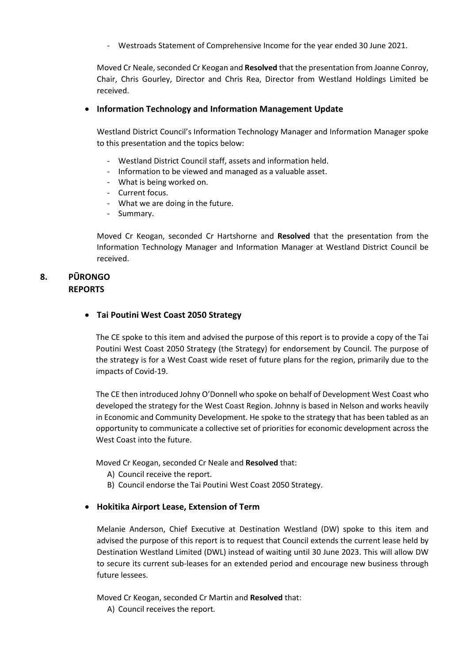- Westroads Statement of Comprehensive Income for the year ended 30 June 2021.

Moved Cr Neale, seconded Cr Keogan and **Resolved** that the presentation from Joanne Conroy, Chair, Chris Gourley, Director and Chris Rea, Director from Westland Holdings Limited be received.

#### **Information Technology and Information Management Update**

Westland District Council's Information Technology Manager and Information Manager spoke to this presentation and the topics below:

- Westland District Council staff, assets and information held.
- Information to be viewed and managed as a valuable asset.
- What is being worked on.
- Current focus.
- What we are doing in the future.
- Summary.

Moved Cr Keogan, seconded Cr Hartshorne and **Resolved** that the presentation from the Information Technology Manager and Information Manager at Westland District Council be received.

# **8. PŪRONGO REPORTS**

#### **Tai Poutini West Coast 2050 Strategy**

The CE spoke to this item and advised the purpose of this report is to provide a copy of the Tai Poutini West Coast 2050 Strategy (the Strategy) for endorsement by Council. The purpose of the strategy is for a West Coast wide reset of future plans for the region, primarily due to the impacts of Covid-19.

The CE then introduced Johny O'Donnell who spoke on behalf of Development West Coast who developed the strategy for the West Coast Region. Johnny is based in Nelson and works heavily in Economic and Community Development. He spoke to the strategy that has been tabled as an opportunity to communicate a collective set of priorities for economic development across the West Coast into the future.

Moved Cr Keogan, seconded Cr Neale and **Resolved** that:

- A) Council receive the report.
- B) Council endorse the Tai Poutini West Coast 2050 Strategy.

# **Hokitika Airport Lease, Extension of Term**

Melanie Anderson, Chief Executive at Destination Westland (DW) spoke to this item and advised the purpose of this report is to request that Council extends the current lease held by Destination Westland Limited (DWL) instead of waiting until 30 June 2023. This will allow DW to secure its current sub-leases for an extended period and encourage new business through future lessees.

Moved Cr Keogan, seconded Cr Martin and **Resolved** that:

A) Council receives the report.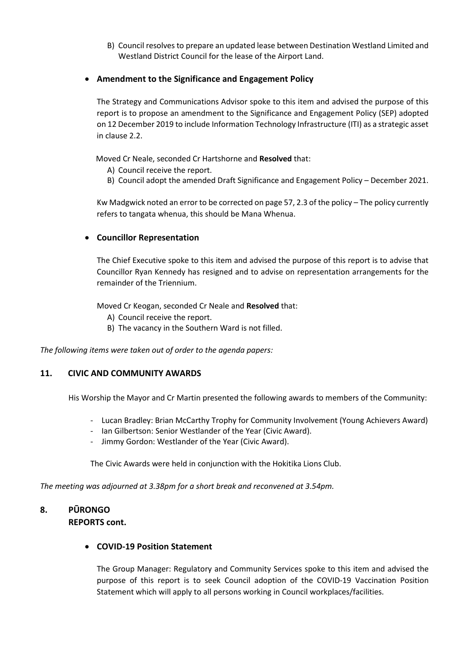- B) Council resolves to prepare an updated lease between Destination Westland Limited and Westland District Council for the lease of the Airport Land.
- **Amendment to the Significance and Engagement Policy**

The Strategy and Communications Advisor spoke to this item and advised the purpose of this report is to propose an amendment to the Significance and Engagement Policy (SEP) adopted on 12 December 2019 to include Information Technology Infrastructure (ITI) as a strategic asset in clause 2.2.

Moved Cr Neale, seconded Cr Hartshorne and **Resolved** that:

- A) Council receive the report.
- B) Council adopt the amended Draft Significance and Engagement Policy December 2021.

Kw Madgwick noted an error to be corrected on page 57, 2.3 of the policy – The policy currently refers to tangata whenua, this should be Mana Whenua.

#### **Councillor Representation**

The Chief Executive spoke to this item and advised the purpose of this report is to advise that Councillor Ryan Kennedy has resigned and to advise on representation arrangements for the remainder of the Triennium.

Moved Cr Keogan, seconded Cr Neale and **Resolved** that:

- A) Council receive the report.
- B) The vacancy in the Southern Ward is not filled.

*The following items were taken out of order to the agenda papers:* 

# **11. CIVIC AND COMMUNITY AWARDS**

His Worship the Mayor and Cr Martin presented the following awards to members of the Community:

- Lucan Bradley: Brian McCarthy Trophy for Community Involvement (Young Achievers Award)
- Ian Gilbertson: Senior Westlander of the Year (Civic Award).
- Jimmy Gordon: Westlander of the Year (Civic Award).

The Civic Awards were held in conjunction with the Hokitika Lions Club.

*The meeting was adjourned at 3.38pm for a short break and reconvened at 3.54pm.* 

# **8. PŪRONGO**

# **REPORTS cont.**

# **COVID-19 Position Statement**

The Group Manager: Regulatory and Community Services spoke to this item and advised the purpose of this report is to seek Council adoption of the COVID-19 Vaccination Position Statement which will apply to all persons working in Council workplaces/facilities.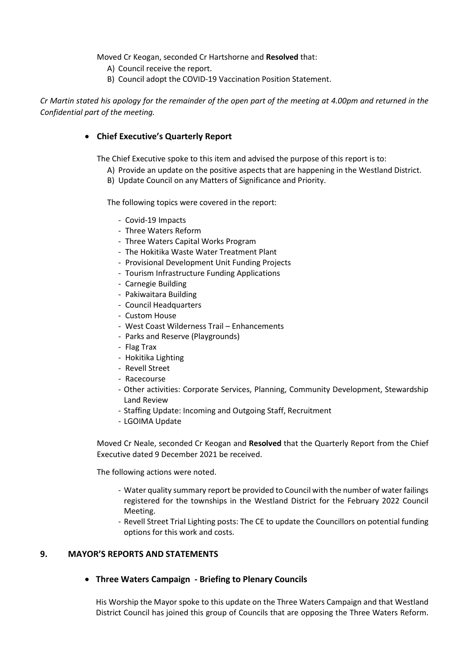Moved Cr Keogan, seconded Cr Hartshorne and **Resolved** that:

- A) Council receive the report.
- B) Council adopt the COVID-19 Vaccination Position Statement.

*Cr Martin stated his apology for the remainder of the open part of the meeting at 4.00pm and returned in the Confidential part of the meeting.* 

#### **Chief Executive's Quarterly Report**

The Chief Executive spoke to this item and advised the purpose of this report is to:

- A) Provide an update on the positive aspects that are happening in the Westland District.
- B) Update Council on any Matters of Significance and Priority.

The following topics were covered in the report:

- Covid-19 Impacts
- Three Waters Reform
- Three Waters Capital Works Program
- The Hokitika Waste Water Treatment Plant
- Provisional Development Unit Funding Projects
- Tourism Infrastructure Funding Applications
- Carnegie Building
- Pakiwaitara Building
- Council Headquarters
- Custom House
- West Coast Wilderness Trail Enhancements
- Parks and Reserve (Playgrounds)
- Flag Trax
- Hokitika Lighting
- Revell Street
- Racecourse
- Other activities: Corporate Services, Planning, Community Development, Stewardship Land Review
- Staffing Update: Incoming and Outgoing Staff, Recruitment
- LGOIMA Update

Moved Cr Neale, seconded Cr Keogan and **Resolved** that the Quarterly Report from the Chief Executive dated 9 December 2021 be received.

The following actions were noted.

- Water quality summary report be provided to Council with the number of water failings registered for the townships in the Westland District for the February 2022 Council Meeting.
- Revell Street Trial Lighting posts: The CE to update the Councillors on potential funding options for this work and costs.

#### **9. MAYOR'S REPORTS AND STATEMENTS**

**Three Waters Campaign - Briefing to Plenary Councils** 

His Worship the Mayor spoke to this update on the Three Waters Campaign and that Westland District Council has joined this group of Councils that are opposing the Three Waters Reform.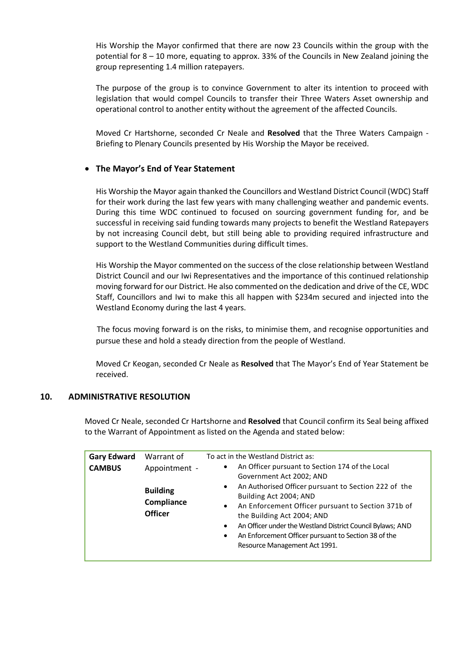His Worship the Mayor confirmed that there are now 23 Councils within the group with the potential for 8 – 10 more, equating to approx. 33% of the Councils in New Zealand joining the group representing 1.4 million ratepayers.

The purpose of the group is to convince Government to alter its intention to proceed with legislation that would compel Councils to transfer their Three Waters Asset ownership and operational control to another entity without the agreement of the affected Councils.

Moved Cr Hartshorne, seconded Cr Neale and **Resolved** that the Three Waters Campaign - Briefing to Plenary Councils presented by His Worship the Mayor be received.

# **The Mayor's End of Year Statement**

His Worship the Mayor again thanked the Councillors and Westland District Council (WDC) Staff for their work during the last few years with many challenging weather and pandemic events. During this time WDC continued to focused on sourcing government funding for, and be successful in receiving said funding towards many projects to benefit the Westland Ratepayers by not increasing Council debt, but still being able to providing required infrastructure and support to the Westland Communities during difficult times.

His Worship the Mayor commented on the success of the close relationship between Westland District Council and our Iwi Representatives and the importance of this continued relationship moving forward for our District. He also commented on the dedication and drive of the CE, WDC Staff, Councillors and Iwi to make this all happen with \$234m secured and injected into the Westland Economy during the last 4 years.

The focus moving forward is on the risks, to minimise them, and recognise opportunities and pursue these and hold a steady direction from the people of Westland.

Moved Cr Keogan, seconded Cr Neale as **Resolved** that The Mayor's End of Year Statement be received.

# **10. ADMINISTRATIVE RESOLUTION**

Moved Cr Neale, seconded Cr Hartshorne and **Resolved** that Council confirm its Seal being affixed to the Warrant of Appointment as listed on the Agenda and stated below:

| <b>Gary Edward</b><br><b>CAMBUS</b> | Warrant of<br>Appointment -<br><b>Building</b><br>Compliance<br><b>Officer</b> | To act in the Westland District as:<br>An Officer pursuant to Section 174 of the Local<br>$\bullet$<br>Government Act 2002; AND<br>An Authorised Officer pursuant to Section 222 of the<br>$\bullet$<br>Building Act 2004; AND<br>An Enforcement Officer pursuant to Section 371b of<br>$\bullet$<br>the Building Act 2004; AND<br>An Officer under the Westland District Council Bylaws; AND<br>$\bullet$<br>An Enforcement Officer pursuant to Section 38 of the<br>٠<br>Resource Management Act 1991. |
|-------------------------------------|--------------------------------------------------------------------------------|----------------------------------------------------------------------------------------------------------------------------------------------------------------------------------------------------------------------------------------------------------------------------------------------------------------------------------------------------------------------------------------------------------------------------------------------------------------------------------------------------------|
|-------------------------------------|--------------------------------------------------------------------------------|----------------------------------------------------------------------------------------------------------------------------------------------------------------------------------------------------------------------------------------------------------------------------------------------------------------------------------------------------------------------------------------------------------------------------------------------------------------------------------------------------------|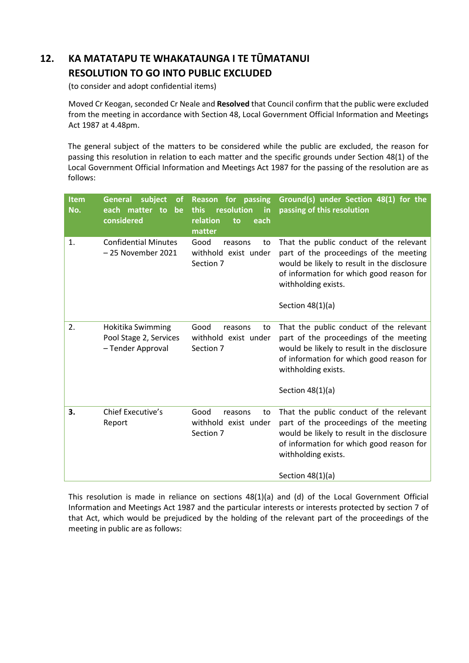# **12. KA MATATAPU TE WHAKATAUNGA I TE TŪMATANUI RESOLUTION TO GO INTO PUBLIC EXCLUDED**

(to consider and adopt confidential items)

 Moved Cr Keogan, seconded Cr Neale and **Resolved** that Council confirm that the public were excluded from the meeting in accordance with Section 48, Local Government Official Information and Meetings Act 1987 at 4.48pm.

The general subject of the matters to be considered while the public are excluded, the reason for passing this resolution in relation to each matter and the specific grounds under Section 48(1) of the Local Government Official Information and Meetings Act 1987 for the passing of the resolution are as follows:

| <b>Item</b><br>No. | <b>General</b><br>subject<br>оf<br>each matter to<br>be<br>considered | for passing<br><b>Reason</b><br>resolution<br>this<br>in<br>relation<br>to<br>each<br>matter | Ground(s) under Section 48(1) for the<br>passing of this resolution                                                                                                                                                       |
|--------------------|-----------------------------------------------------------------------|----------------------------------------------------------------------------------------------|---------------------------------------------------------------------------------------------------------------------------------------------------------------------------------------------------------------------------|
| 1.                 | <b>Confidential Minutes</b><br>- 25 November 2021                     | Good<br>reasons<br>to<br>withhold exist under<br>Section 7                                   | That the public conduct of the relevant<br>part of the proceedings of the meeting<br>would be likely to result in the disclosure<br>of information for which good reason for<br>withholding exists.<br>Section $48(1)(a)$ |
| 2.                 | Hokitika Swimming<br>Pool Stage 2, Services<br>- Tender Approval      | Good<br>reasons<br>to<br>withhold exist under<br>Section 7                                   | That the public conduct of the relevant<br>part of the proceedings of the meeting<br>would be likely to result in the disclosure<br>of information for which good reason for<br>withholding exists.<br>Section $48(1)(a)$ |
| 3.                 | <b>Chief Executive's</b><br>Report                                    | Good<br>reasons<br>to<br>withhold exist under<br>Section 7                                   | That the public conduct of the relevant<br>part of the proceedings of the meeting<br>would be likely to result in the disclosure<br>of information for which good reason for<br>withholding exists.<br>Section $48(1)(a)$ |

This resolution is made in reliance on sections 48(1)(a) and (d) of the Local Government Official Information and Meetings Act 1987 and the particular interests or interests protected by section 7 of that Act, which would be prejudiced by the holding of the relevant part of the proceedings of the meeting in public are as follows: